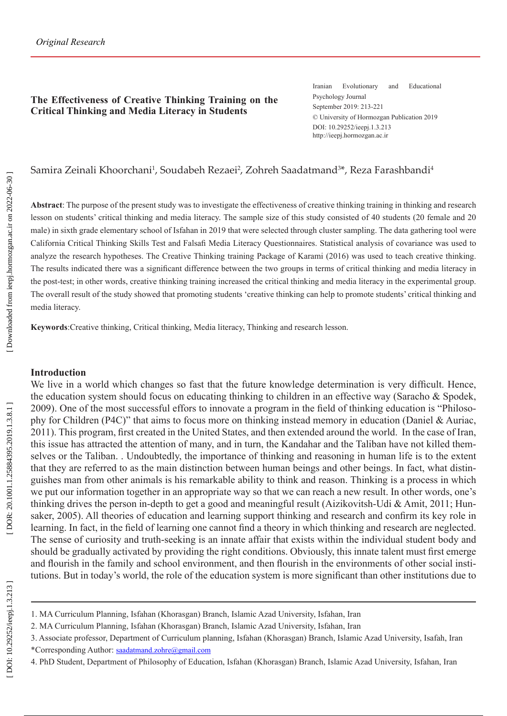### **The Effectiveness of Creative Thinking Training on the Critical Thinking and Media Literacy in Students**

Iranian Evolutionary and Educational Psychology Journal September 2019: 213-221 © University of Hormozgan Publication 2019 DOI: 10.29252/ieepj.1.3.213 http://ieepj.hormozgan.ac.ir

# Samira Zeinali Khoorchani<sup>1</sup>, Soudabeh Rezaei<sup>2</sup>, Zohreh Saadatmand<sup>3\*</sup>, Reza Farashbandi<sup>4</sup>

**Abstract**: The purpose of the present study was to investigate the effectiveness of creative thinking training in thinking and research lesson on students' critical thinking and media literacy. The sample size of this study consisted of 40 students (20 female and 20 male) in sixth grade elementary school of Isfahan in 2019 that were selected through cluster sampling. The data gathering tool were California Critical Thinking Skills Test and Falsafi Media Literacy Questionnaires. Statistical analysis of covariance was used to analyze the research hypotheses. The Creative Thinking training Package of Karami (2016) was used to teach creative thinking. The results indicated there was a significant difference between the two groups in terms of critical thinking and media literacy in the post-test; in other words, creative thinking training increased the critical thinking and media literacy in the experimental group. The overall result of the study showed that promoting students 'creative thinking can help to promote students' critical thinking and media literacy.

**Keywords**:Creative thinking, Critical thinking, Media literacy, Thinking and research lesson.

#### **Introduction**

We live in a world which changes so fast that the future knowledge determination is very difficult. Hence, the education system should focus on educating thinking to children in an effective way (Saracho & Spodek, 2009). One of the most successful effors to innovate a program in the field of thinking education is "Philoso phy for Children (P4C)" that aims to focus more on thinking instead memory in education (Daniel & Auriac, 2011). This program, first created in the United States, and then extended around the world. In the case of Iran, this issue has attracted the attention of many, and in turn, the Kandahar and the Taliban have not killed them selves or the Taliban. . Undoubtedly, the importance of thinking and reasoning in human life is to the extent that they are referred to as the main distinction between human beings and other beings. In fact, what distin guishes man from other animals is his remarkable ability to think and reason. Thinking is a process in which we put our information together in an appropriate way so that we can reach a new result. In other words, one's thinking drives the person in-depth to get a good and meaningful result (Aizikovitsh-Udi & Amit, 2011; Hun saker, 2005). All theories of education and learning support thinking and research and confirm its key role in learning. In fact, in the field of learning one cannot find a theory in which thinking and research are neglected. The sense of curiosity and truth-seeking is an innate affair that exists within the individual student body and should be gradually activated by providing the right conditions. Obviously, this innate talent must first emerge and flourish in the family and school environment, and then flourish in the environments of other social insti tutions. But in today's world, the role of the education system is more significant than other institutions due to

- 1. MA Curriculum Planning, Isfahan (Khorasgan) Branch, Islamic Azad University, Isfahan, Iran
- 2. MA Curriculum Planning, Isfahan (Khorasgan) Branch, Islamic Azad University, Isfahan, Iran

4. PhD Student, Department of Philosophy of Education, Isfahan (Khorasgan) Branch, Islamic Azad University, Isfahan, Iran

<sup>3.</sup> Associate professor, Department of Curriculum planning, Isfahan (Khorasgan) Branch, Islamic Azad University, Isafah, Iran \*Corresponding Author: [saadatmand.zohre@gmail.com](mailto:saadatmand.zohre@gmail.com)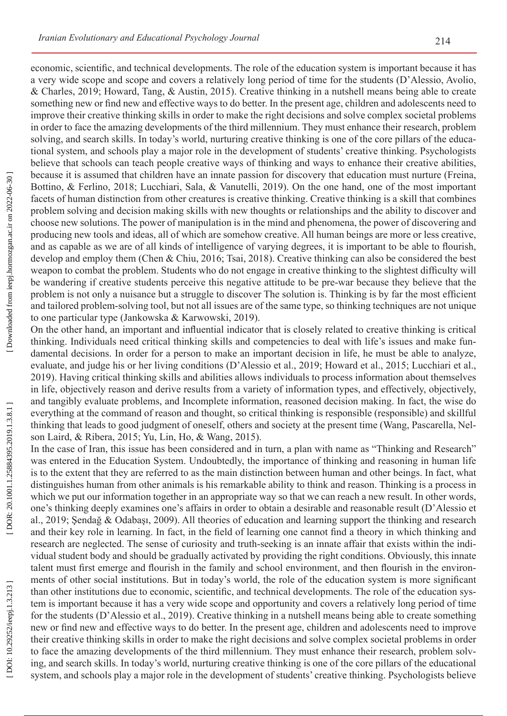economic, scientific, and technical developments. The role of the education system is important because it has a very wide scope and scope and covers a relatively long period of time for the students (D'Alessio, Avolio, & Charles, 2019; Howard, Tang, & Austin, 2015). Creative thinking in a nutshell means being able to create something new or find new and effective ways to do better. In the present age, children and adolescents need to improve their creative thinking skills in order to make the right decisions and solve complex societal problems in order to face the amazing developments of the third millennium. They must enhance their research, problem solving, and search skills. In today's world, nurturing creative thinking is one of the core pillars of the educa tional system, and schools play a major role in the development of students' creative thinking. Psychologists believe that schools can teach people creative ways of thinking and ways to enhance their creative abilities, because it is assumed that children have an innate passion for discovery that education must nurture (Freina, Bottino, & Ferlino, 2018; Lucchiari, Sala, & Vanutelli, 2019). On the one hand, one of the most important facets of human distinction from other creatures is creative thinking. Creative thinking is a skill that combines problem solving and decision making skills with new thoughts or relationships and the ability to discover and choose new solutions. The power of manipulation is in the mind and phenomena, the power of discovering and producing new tools and ideas, all of which are somehow creative. All human beings are more or less creative, and as capable as we are of all kinds of intelligence of varying degrees, it is important to be able to flourish, develop and employ them (Chen & Chiu, 2016; Tsai, 2018). Creative thinking can also be considered the best weapon to combat the problem. Students who do not engage in creative thinking to the slightest difficulty will be wandering if creative students perceive this negative attitude to be pre-war because they believe that the problem is not only a nuisance but a struggle to discover The solution is. Thinking is by far the most efficient and tailored problem-solving tool, but not all issues are of the same type, so thinking techniques are not unique to one particular type (Jankowska & Karwowski, 2019).

On the other hand, an important and influential indicator that is closely related to creative thinking is critical thinking. Individuals need critical thinking skills and competencies to deal with life's issues and make fun damental decisions. In order for a person to make an important decision in life, he must be able to analyze, evaluate, and judge his or her living conditions (D'Alessio et al., 2019; Howard et al., 2015; Lucchiari et al., 2019). Having critical thinking skills and abilities allows individuals to process information about themselves in life, objectively reason and derive results from a variety of information types, and effectively, objectively, and tangibly evaluate problems, and Incomplete information, reasoned decision making. In fact, the wise do everything at the command of reason and thought, so critical thinking is responsible (responsible) and skillful thinking that leads to good judgment of oneself, others and society at the present time (Wang, Pascarella, Nel son Laird, & Ribera, 2015; Yu, Lin, Ho, & Wang, 2015).

In the case of Iran, this issue has been considered and in turn, a plan with name as "Thinking and Research" was entered in the Education System. Undoubtedly, the importance of thinking and reasoning in human life is to the extent that they are referred to as the main distinction between human and other beings. In fact, what distinguishes human from other animals is his remarkable ability to think and reason. Thinking is a process in which we put our information together in an appropriate way so that we can reach a new result. In other words, one's thinking deeply examines one's affairs in order to obtain a desirable and reasonable result (D'Alessio et al., 2019; Şendağ & Odabaşı, 2009). All theories of education and learning support the thinking and research and their key role in learning. In fact, in the field of learning one cannot find a theory in which thinking and research are neglected. The sense of curiosity and truth-seeking is an innate affair that exists within the indi vidual student body and should be gradually activated by providing the right conditions. Obviously, this innate talent must first emerge and flourish in the family and school environment, and then flourish in the environ ments of other social institutions. But in today's world, the role of the education system is more significant than other institutions due to economic, scientific, and technical developments. The role of the education sys tem is important because it has a very wide scope and opportunity and covers a relatively long period of time for the students (D'Alessio et al., 2019). Creative thinking in a nutshell means being able to create something new or find new and effective ways to do better. In the present age, children and adolescents need to improve their creative thinking skills in order to make the right decisions and solve complex societal problems in order to face the amazing developments of the third millennium. They must enhance their research, problem solv ing, and search skills. In today's world, nurturing creative thinking is one of the core pillars of the educational system, and schools play a major role in the development of students' creative thinking. Psychologists believe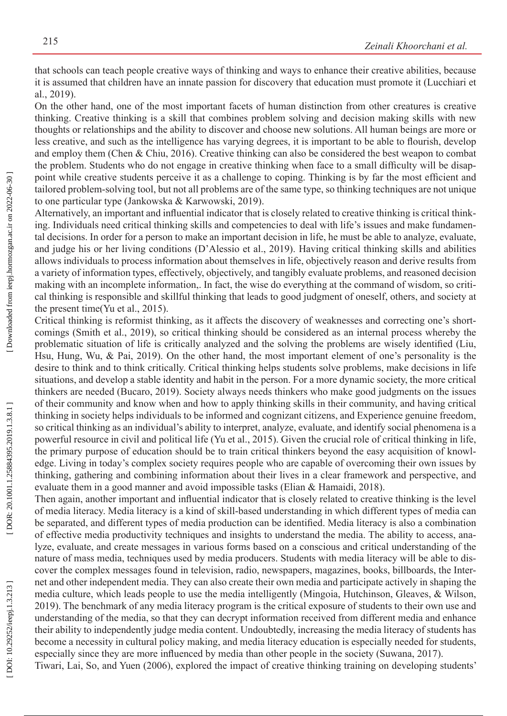that schools can teach people creative ways of thinking and ways to enhance their creative abilities, because it is assumed that children have an innate passion for discovery that education must promote it (Lucchiari et al., 2019).

On the other hand, one of the most important facets of human distinction from other creatures is creative thinking. Creative thinking is a skill that combines problem solving and decision making skills with new thoughts or relationships and the ability to discover and choose new solutions. All human beings are more or less creative, and such as the intelligence has varying degrees, it is important to be able to flourish, develop and employ them (Chen & Chiu, 2016). Creative thinking can also be considered the best weapon to combat the problem. Students who do not engage in creative thinking when face to a small difficulty will be disap point while creative students perceive it as a challenge to coping. Thinking is by far the most efficient and tailored problem-solving tool, but not all problems are of the same type, so thinking techniques are not unique to one particular type (Jankowska & Karwowski, 2019).

Alternatively, an important and influential indicator that is closely related to creative thinking is critical think ing. Individuals need critical thinking skills and competencies to deal with life's issues and make fundamen tal decisions. In order for a person to make an important decision in life, he must be able to analyze, evaluate, and judge his or her living conditions (D'Alessio et al., 2019). Having critical thinking skills and abilities allows individuals to process information about themselves in life, objectively reason and derive results from a variety of information types, effectively, objectively, and tangibly evaluate problems, and reasoned decision making with an incomplete information,. In fact, the wise do everything at the command of wisdom, so criti cal thinking is responsible and skillful thinking that leads to good judgment of oneself, others, and society at the present time(Yu et al., 2015).

Critical thinking is reformist thinking, as it affects the discovery of weaknesses and correcting one's short comings (Smith et al., 2019), so critical thinking should be considered as an internal process whereby the problematic situation of life is critically analyzed and the solving the problems are wisely identified (Liu, Hsu, Hung, Wu, & Pai, 2019). On the other hand, the most important element of one's personality is the desire to think and to think critically. Critical thinking helps students solve problems, make decisions in life situations, and develop a stable identity and habit in the person. For a more dynamic society, the more critical thinkers are needed (Bucaro, 2019). Society always needs thinkers who make good judgments on the issues of their community and know when and how to apply thinking skills in their community, and having critical thinking in society helps individuals to be informed and cognizant citizens, and Experience genuine freedom, so critical thinking as an individual's ability to interpret, analyze, evaluate, and identify social phenomena is a powerful resource in civil and political life (Yu et al., 2015). Given the crucial role of critical thinking in life, the primary purpose of education should be to train critical thinkers beyond the easy acquisition of knowl edge. Living in today's complex society requires people who are capable of overcoming their own issues by thinking, gathering and combining information about their lives in a clear framework and perspective, and evaluate them in a good manner and avoid impossible tasks (Elian & Hamaidi, 2018).

Then again, another important and influential indicator that is closely related to creative thinking is the level of media literacy. Media literacy is a kind of skill-based understanding in which different types of media can be separated, and different types of media production can be identified. Media literacy is also a combination of effective media productivity techniques and insights to understand the media. The ability to access, ana lyze, evaluate, and create messages in various forms based on a conscious and critical understanding of the nature of mass media, techniques used by media producers. Students with media literacy will be able to dis cover the complex messages found in television, radio, newspapers, magazines, books, billboards, the Inter net and other independent media. They can also create their own media and participate actively in shaping the media culture, which leads people to use the media intelligently (Mingoia, Hutchinson, Gleaves, & Wilson, 2019). The benchmark of any media literacy program is the critical exposure of students to their own use and understanding of the media, so that they can decrypt information received from different media and enhance their ability to independently judge media content. Undoubtedly, increasing the media literacy of students has become a necessity in cultural policy making, and media literacy education is especially needed for students, especially since they are more influenced by media than other people in the society (Suwana, 2017). Tiwari, Lai, So, and Yuen (2006), explored the impact of creative thinking training on developing students'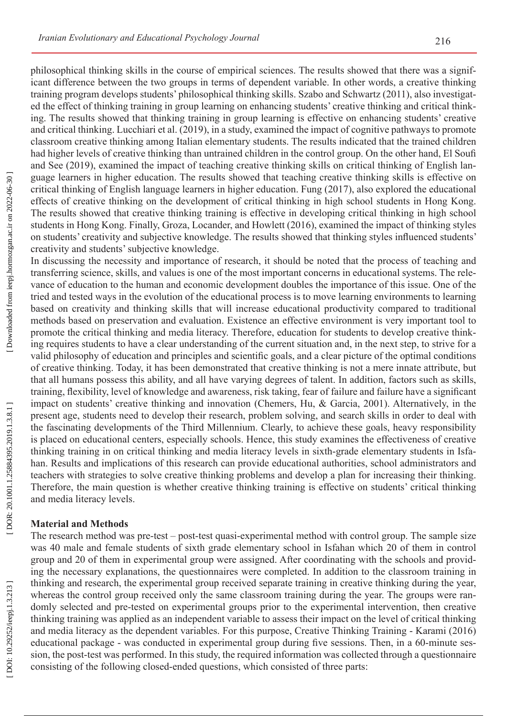philosophical thinking skills in the course of empirical sciences. The results showed that there was a significant difference between the two groups in terms of dependent variable. In other words, a creative thinking training program develops students' philosophical thinking skills. Szabo and Schwartz (2011), also investigat ed the effect of thinking training in group learning on enhancing students' creative thinking and critical think ing. The results showed that thinking training in group learning is effective on enhancing students' creative and critical thinking. Lucchiari et al. (2019), in a study, examined the impact of cognitive pathways to promote classroom creative thinking among Italian elementary students. The results indicated that the trained children had higher levels of creative thinking than untrained children in the control group. On the other hand, El Soufi and See (2019), examined the impact of teaching creative thinking skills on critical thinking of English lan guage learners in higher education. The results showed that teaching creative thinking skills is effective on critical thinking of English language learners in higher education. Fung (2017), also explored the educational effects of creative thinking on the development of critical thinking in high school students in Hong Kong. The results showed that creative thinking training is effective in developing critical thinking in high school students in Hong Kong. Finally, Groza, Locander, and Howlett (2016), examined the impact of thinking styles on students' creativity and subjective knowledge. The results showed that thinking styles influenced students' creativity and students' subjective knowledge.

In discussing the necessity and importance of research, it should be noted that the process of teaching and transferring science, skills, and values is one of the most important concerns in educational systems. The rele vance of education to the human and economic development doubles the importance of this issue. One of the tried and tested ways in the evolution of the educational process is to move learning environments to learning based on creativity and thinking skills that will increase educational productivity compared to traditional methods based on preservation and evaluation. Existence an effective environment is very important tool to promote the critical thinking and media literacy. Therefore, education for students to develop creative think ing requires students to have a clear understanding of the current situation and, in the next step, to strive for a valid philosophy of education and principles and scientific goals, and a clear picture of the optimal conditions of creative thinking. Today, it has been demonstrated that creative thinking is not a mere innate attribute, but that all humans possess this ability, and all have varying degrees of talent. In addition, factors such as skills, training, flexibility, level of knowledge and awareness, risk taking, fear of failure and failure have a significant impact on students' creative thinking and innovation (Chemers, Hu, & Garcia, 2001). Alternatively, in the present age, students need to develop their research, problem solving, and search skills in order to deal with the fascinating developments of the Third Millennium. Clearly, to achieve these goals, heavy responsibility is placed on educational centers, especially schools. Hence, this study examines the effectiveness of creative thinking training in on critical thinking and media literacy levels in sixth-grade elementary students in Isfa han. Results and implications of this research can provide educational authorities, school administrators and teachers with strategies to solve creative thinking problems and develop a plan for increasing their thinking. Therefore, the main question is whether creative thinking training is effective on students' critical thinking and media literacy levels.

#### **Material and Methods**

The research method was pre-test – post-test quasi-experimental method with control group. The sample size was 40 male and female students of sixth grade elementary school in Isfahan which 20 of them in control group and 20 of them in experimental group were assigned. After coordinating with the schools and provid ing the necessary explanations, the questionnaires were completed. In addition to the classroom training in thinking and research, the experimental group received separate training in creative thinking during the year, whereas the control group received only the same classroom training during the year. The groups were randomly selected and pre-tested on experimental groups prior to the experimental intervention, then creative thinking training was applied as an independent variable to assess their impact on the level of critical thinking and media literacy as the dependent variables. For this purpose, Creative Thinking Training - Karami (2016) educational package - was conducted in experimental group during five sessions. Then, in a 60-minute ses sion, the post-test was performed. In this study, the required information was collected through a questionnaire consisting of the following closed-ended questions, which consisted of three parts: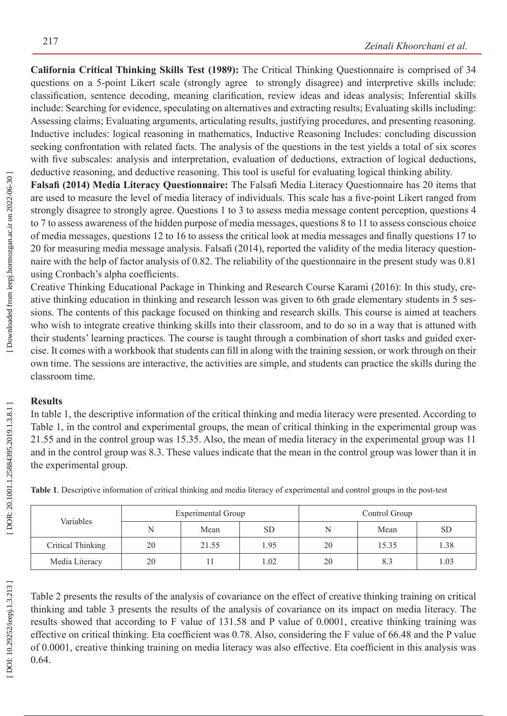**California Critical Thinking Skills Test (1989):** The Critical Thinking Questionnaire is comprised of 34 questions on a 5-point Likert scale (strongly agree to strongly disagree) and interpretive skills include: classification, sentence decoding, meaning clarification, review ideas and ideas analysis; Inferential skills include: Searching for evidence, speculating on alternatives and extracting results; Evaluating skills including: Assessing claims; Evaluating arguments, articulating results, justifying procedures, and presenting reasoning. Inductive includes: logical reasoning in mathematics, Inductive Reasoning Includes: concluding discussion seeking confrontation with related facts. The analysis of the questions in the test yields a total of six scores with five subscales: analysis and interpretation, evaluation of deductions, extraction of logical deductions, deductive reasoning, and deductive reasoning. This tool is useful for evaluating logical thinking ability.

**Falsafi (2014) Media Literacy Questionnaire:** The Falsafi Media Literacy Questionnaire has 20 items that are used to measure the level of media literacy of individuals. This scale has a five-point Likert ranged from strongly disagree to strongly agree. Questions 1 to 3 to assess media message content perception, questions 4 to 7 to assess awareness of the hidden purpose of media messages, questions 8 to 11 to assess conscious choice of media messages, questions 12 to 16 to assess the critical look at media messages and finally questions 17 to 20 for measuring media message analysis. Falsafi (2014), reported the validity of the media literacy question naire with the help of factor analysis of 0.82. The reliability of the questionnaire in the present study was 0.81 using Cronbach's alpha coefficients.

Creative Thinking Educational Package in Thinking and Research Course Karami (2016): In this study, cre ative thinking education in thinking and research lesson was given to 6th grade elementary students in 5 ses sions. The contents of this package focused on thinking and research skills. This course is aimed at teachers who wish to integrate creative thinking skills into their classroom, and to do so in a way that is attuned with their students' learning practices. The course is taught through a combination of short tasks and guided exer cise. It comes with a workbook that students can fill in along with the training session, or work through on their own time. The sessions are interactive, the activities are simple, and students can practice the skills during the classroom time.

# **Results**

In table 1, the descriptive information of the critical thinking and media literacy were presented. According to Table 1, in the control and experimental groups, the mean of critical thinking in the experimental group was 21.55 and in the control group was 15.35. Also, the mean of media literacy in the experimental group was 11 and in the control group was 8.3. These values indicate that the mean in the control group was lower than it in the experimental group.

| Variables         | <b>Experimental Group</b> |       |           | Control Group |       |           |
|-------------------|---------------------------|-------|-----------|---------------|-------|-----------|
|                   |                           | Mean  | <b>SD</b> | N             | Mean  | <b>SD</b> |
| Critical Thinking | 20                        | 21.55 | 1.95      | 20            | 15.35 | 1.38      |
| Media Literacy    | 20                        |       | .02       | 20            |       | 1.03      |

**Table 1**. Descriptive information of critical thinking and media literacy of experimental and control groups in the post-test

DOR: 20.1001.1.25884395.2019.1.3.8.1]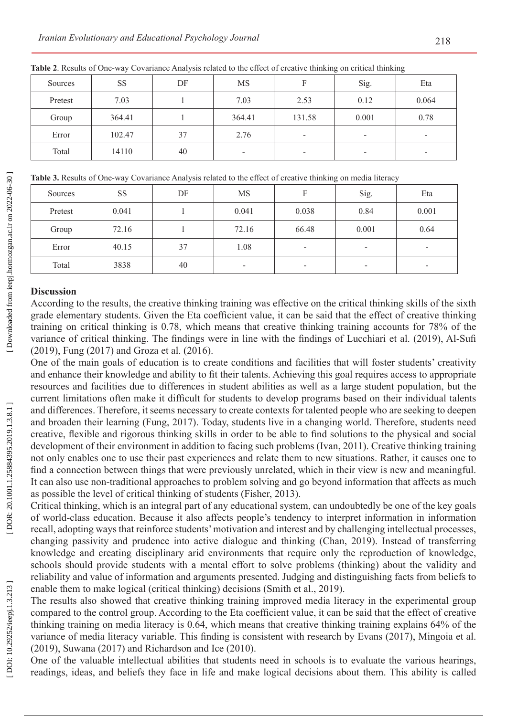|         |           | $\tilde{\phantom{a}}$ |                          |                          | $\tilde{\phantom{a}}$    | $\tilde{\phantom{a}}$    |
|---------|-----------|-----------------------|--------------------------|--------------------------|--------------------------|--------------------------|
| Sources | <b>SS</b> | DF                    | <b>MS</b>                |                          | Sig.                     | Eta                      |
| Pretest | 7.03      |                       | 7.03                     | 2.53                     | 0.12                     | 0.064                    |
| Group   | 364.41    |                       | 364.41                   | 131.58                   | 0.001                    | 0.78                     |
| Error   | 102.47    | 37                    | 2.76                     | $\overline{\phantom{0}}$ | -                        | $\overline{\phantom{a}}$ |
| Total   | 14110     | 40                    | $\overline{\phantom{a}}$ | -                        | $\overline{\phantom{0}}$ | $\overline{\phantom{a}}$ |

**Table 2**. Results of One-way Covariance Analysis related to the effect of creative thinking on critical thinking

**Table 3.** Results of One-way Covariance Analysis related to the effect of creative thinking on media literacy

| Sources | SS    | DF | MS                       |       | Sig.                     | Eta                      |
|---------|-------|----|--------------------------|-------|--------------------------|--------------------------|
| Pretest | 0.041 |    | 0.041                    | 0.038 | 0.84                     | 0.001                    |
| Group   | 72.16 |    | 72.16                    | 66.48 | 0.001                    | 0.64                     |
| Error   | 40.15 | 37 | 1.08                     |       | $\overline{\phantom{a}}$ | $\overline{\phantom{a}}$ |
| Total   | 3838  | 40 | $\overline{\phantom{a}}$ | -     | $\overline{\phantom{a}}$ | $\overline{\phantom{0}}$ |

#### **Discussion**

According to the results, the creative thinking training was effective on the critical thinking skills of the sixth grade elementary students. Given the Eta coefficient value, it can be said that the effect of creative thinking training on critical thinking is 0.78, which means that creative thinking training accounts for 78% of the variance of critical thinking. The findings were in line with the findings of Lucchiari et al. (2019), Al-Sufi (2019), Fung (2017) and Groza et al. (2016).

One of the main goals of education is to create conditions and facilities that will foster students' creativity and enhance their knowledge and ability to fit their talents. Achieving this goal requires access to appropriate resources and facilities due to differences in student abilities as well as a large student population, but the current limitations often make it difficult for students to develop programs based on their individual talents and differences. Therefore, it seems necessary to create contexts for talented people who are seeking to deepen and broaden their learning (Fung, 2017). Today, students live in a changing world. Therefore, students need creative, flexible and rigorous thinking skills in order to be able to find solutions to the physical and social development of their environment in addition to facing such problems (Ivan, 2011). Creative thinking training not only enables one to use their past experiences and relate them to new situations. Rather, it causes one to find a connection between things that were previously unrelated, which in their view is new and meaningful. It can also use non-traditional approaches to problem solving and go beyond information that affects as much as possible the level of critical thinking of students (Fisher, 2013).

Critical thinking, which is an integral part of any educational system, can undoubtedly be one of the key goals of world-class education. Because it also affects people's tendency to interpret information in information recall, adopting ways that reinforce students' motivation and interest and by challenging intellectual processes, changing passivity and prudence into active dialogue and thinking (Chan, 2019). Instead of transferring knowledge and creating disciplinary arid environments that require only the reproduction of knowledge, schools should provide students with a mental effort to solve problems (thinking) about the validity and reliability and value of information and arguments presented. Judging and distinguishing facts from beliefs to enable them to make logical (critical thinking) decisions (Smith et al., 2019).

The results also showed that creative thinking training improved media literacy in the experimental group compared to the control group. According to the Eta coefficient value, it can be said that the effect of creative thinking training on media literacy is 0.64, which means that creative thinking training explains 64% of the variance of media literacy variable. This finding is consistent with research by Evans (2017), Mingoia et al. (2019), Suwana (2017) and Richardson and Ice (2010).

One of the valuable intellectual abilities that students need in schools is to evaluate the various hearings, readings, ideas, and beliefs they face in life and make logical decisions about them. This ability is called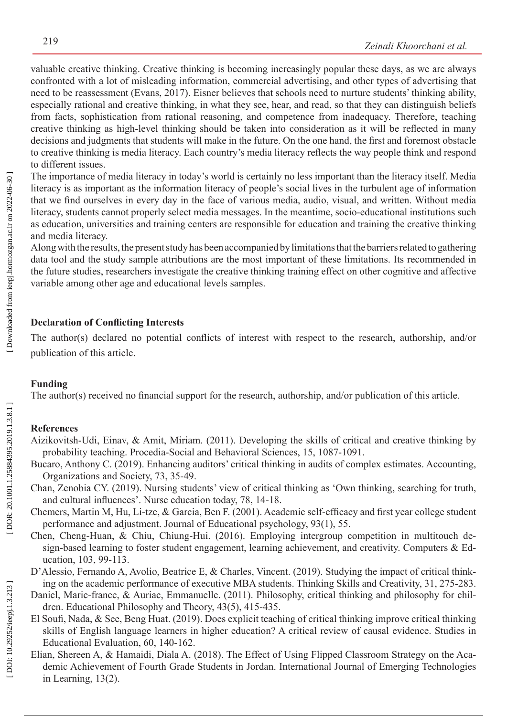valuable creative thinking. Creative thinking is becoming increasingly popular these days, as we are always confronted with a lot of misleading information, commercial advertising, and other types of advertising that need to be reassessment (Evans, 2017). Eisner believes that schools need to nurture students' thinking ability, especially rational and creative thinking, in what they see, hear, and read, so that they can distinguish beliefs from facts, sophistication from rational reasoning, and competence from inadequacy. Therefore, teaching creative thinking as high-level thinking should be taken into consideration as it will be reflected in many decisions and judgments that students will make in the future. On the one hand, the first and foremost obstacle to creative thinking is media literacy. Each country's media literacy reflects the way people think and respond to different issues.

The importance of media literacy in today's world is certainly no less important than the literacy itself. Media literacy is as important as the information literacy of people's social lives in the turbulent age of information that we find ourselves in every day in the face of various media, audio, visual, and written. Without media literacy, students cannot properly select media messages. In the meantime, socio-educational institutions such as education, universities and training centers are responsible for education and training the creative thinking and media literacy.

Along with the results, the present study has been accompanied by limitations that the barriers related to gathering data tool and the study sample attributions are the most important of these limitations. Its recommended in the future studies, researchers investigate the creative thinking training effect on other cognitive and affective variable among other age and educational levels samples.

# **Declaration of Conflicting Interests**

The author(s) declared no potential conflicts of interest with respect to the research, authorship, and/or publication of this article.

## **Funding**

The author(s) received no financial support for the research, authorship, and/or publication of this article.

## **References**

- Aizikovitsh-Udi, Einav, & Amit, Miriam. (2011). Developing the skills of critical and creative thinking by probability teaching. Procedia-Social and Behavioral Sciences, 15, 1087-1091.
- Bucaro, Anthony C. (2019). Enhancing auditors' critical thinking in audits of complex estimates. Accounting, Organizations and Society, 73, 35-49.
- Chan, Zenobia CY. (2019). Nursing students' view of critical thinking as 'Own thinking, searching for truth, and cultural influences'. Nurse education today, 78, 14-18.
- Chemers, Martin M, Hu, Li-tze, & Garcia, Ben F. (2001). Academic self-efficacy and first year college student performance and adjustment. Journal of Educational psychology, 93(1), 55.
- Chen, Cheng-Huan, & Chiu, Chiung-Hui. (2016). Employing intergroup competition in multitouch de sign-based learning to foster student engagement, learning achievement, and creativity. Computers & Education, 103, 99-113.
- D'Alessio, Fernando A, Avolio, Beatrice E, & Charles, Vincent. (2019). Studying the impact of critical thinking on the academic performance of executive MBA students. Thinking Skills and Creativity, 31, 275-283.
- Daniel, Marie-france, & Auriac, Emmanuelle. (2011). Philosophy, critical thinking and philosophy for children. Educational Philosophy and Theory, 43(5), 415-435.
- El Soufi, Nada, & See, Beng Huat. (2019). Does explicit teaching of critical thinking improve critical thinking skills of English language learners in higher education? A critical review of causal evidence. Studies in Educational Evaluation, 60, 140-162.
- Elian, Shereen A, & Hamaidi, Diala A. (2018). The Effect of Using Flipped Classroom Strategy on the Aca demic Achievement of Fourth Grade Students in Jordan. International Journal of Emerging Technologies in Learning, 13(2).

DOI: 10.29252/ieepj.1.3.213]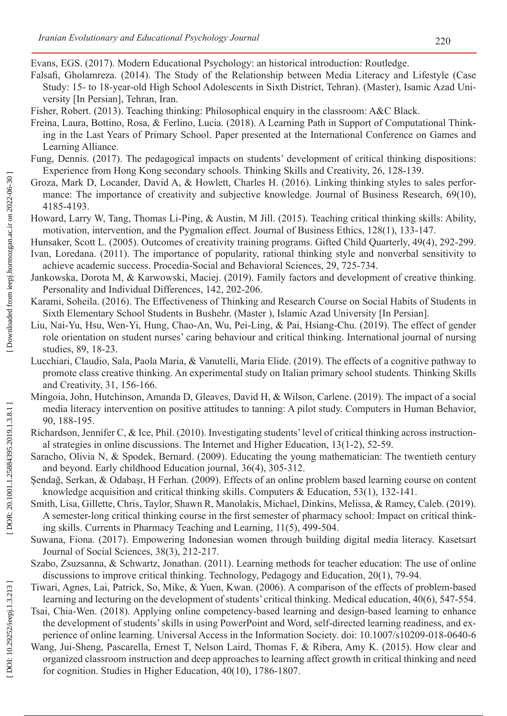Evans, EGS. (2017). Modern Educational Psychology: an historical introduction: Routledge.

- Falsafi, Gholamreza. (2014). The Study of the Relationship between Media Literacy and Lifestyle (Case Study: 15- to 18-year-old High School Adolescents in Sixth District, Tehran). (Master), Isamic Azad Uni versity [In Persian], Tehran, Iran.
- Fisher, Robert. (2013). Teaching thinking: Philosophical enquiry in the classroom: A&C Black.
- Freina, Laura, Bottino, Rosa, & Ferlino, Lucia. (2018). A Learning Path in Support of Computational Think ing in the Last Years of Primary School. Paper presented at the International Conference on Games and Learning Alliance.
- Fung, Dennis. (2017). The pedagogical impacts on students' development of critical thinking dispositions: Experience from Hong Kong secondary schools. Thinking Skills and Creativity, 26, 128-139.
- Groza, Mark D, Locander, David A, & Howlett, Charles H. (2016). Linking thinking styles to sales perfor mance: The importance of creativity and subjective knowledge. Journal of Business Research, 69(10), 4185-4193.
- Howard, Larry W, Tang, Thomas Li-Ping, & Austin, M Jill. (2015). Teaching critical thinking skills: Ability, motivation, intervention, and the Pygmalion effect. Journal of Business Ethics, 128(1), 133-147.
- Hunsaker, Scott L. (2005). Outcomes of creativity training programs. Gifted Child Quarterly, 49(4), 292-299.
- Ivan, Loredana. (2011). The importance of popularity, rational thinking style and nonverbal sensitivity to achieve academic success. Procedia-Social and Behavioral Sciences, 29, 725-734.
- Jankowska, Dorota M, & Karwowski, Maciej. (2019). Family factors and development of creative thinking. Personality and Individual Differences, 142, 202-206.
- Karami, Soheila. (2016). The Effectiveness of Thinking and Research Course on Social Habits of Students in Sixth Elementary School Students in Bushehr. (Master ), Islamic Azad University [In Persian].
- Liu, Nai-Yu, Hsu, Wen-Yi, Hung, Chao-An, Wu, Pei-Ling, & Pai, Hsiang-Chu. (2019). The effect of gender role orientation on student nurses' caring behaviour and critical thinking. International journal of nursing studies, 89, 18-23.
- Lucchiari, Claudio, Sala, Paola Maria, & Vanutelli, Maria Elide. (2019). The effects of a cognitive pathway to promote class creative thinking. An experimental study on Italian primary school students. Thinking Skills and Creativity, 31, 156-166.
- Mingoia, John, Hutchinson, Amanda D, Gleaves, David H, & Wilson, Carlene. (2019). The impact of a social media literacy intervention on positive attitudes to tanning: A pilot study. Computers in Human Behavior, 90, 188-195.
- Richardson, Jennifer C, & Ice, Phil. (2010). Investigating students' level of critical thinking across instructional strategies in online discussions. The Internet and Higher Education, 13(1-2), 52-59.
- Saracho, Olivia N, & Spodek, Bernard. (2009). Educating the young mathematician: The twentieth century and beyond. Early childhood Education journal, 36(4), 305-312.
- Şendağ, Serkan, & Odabaşı, H Ferhan. (2009). Effects of an online problem based learning course on content knowledge acquisition and critical thinking skills. Computers & Education, 53(1), 132-141.
- Smith, Lisa, Gillette, Chris, Taylor, Shawn R, Manolakis, Michael, Dinkins, Melissa, & Ramey, Caleb. (2019). A semester-long critical thinking course in the first semester of pharmacy school: Impact on critical think ing skills. Currents in Pharmacy Teaching and Learning, 11(5), 499-504.
- Suwana, Fiona. (2017). Empowering Indonesian women through building digital media literacy. Kasetsart Journal of Social Sciences, 38(3), 212-217.
- Szabo, Zsuzsanna, & Schwartz, Jonathan. (2011). Learning methods for teacher education: The use of online discussions to improve critical thinking. Technology, Pedagogy and Education, 20(1), 79-94.
- Tiwari, Agnes, Lai, Patrick, So, Mike, & Yuen, Kwan. (2006). A comparison of the effects of problem-based learning and lecturing on the development of students' critical thinking. Medical education, 40(6), 547-554.
- Tsai, Chia-Wen. (2018). Applying online competency-based learning and design-based learning to enhance the development of students' skills in using PowerPoint and Word, self-directed learning readiness, and ex perience of online learning. Universal Access in the Information Society. doi: 10.1007/s10209-018-0640-6
- Wang, Jui-Sheng, Pascarella, Ernest T, Nelson Laird, Thomas F, & Ribera, Amy K. (2015). How clear and organized classroom instruction and deep approaches to learning affect growth in critical thinking and need for cognition. Studies in Higher Education, 40(10), 1786-1807.